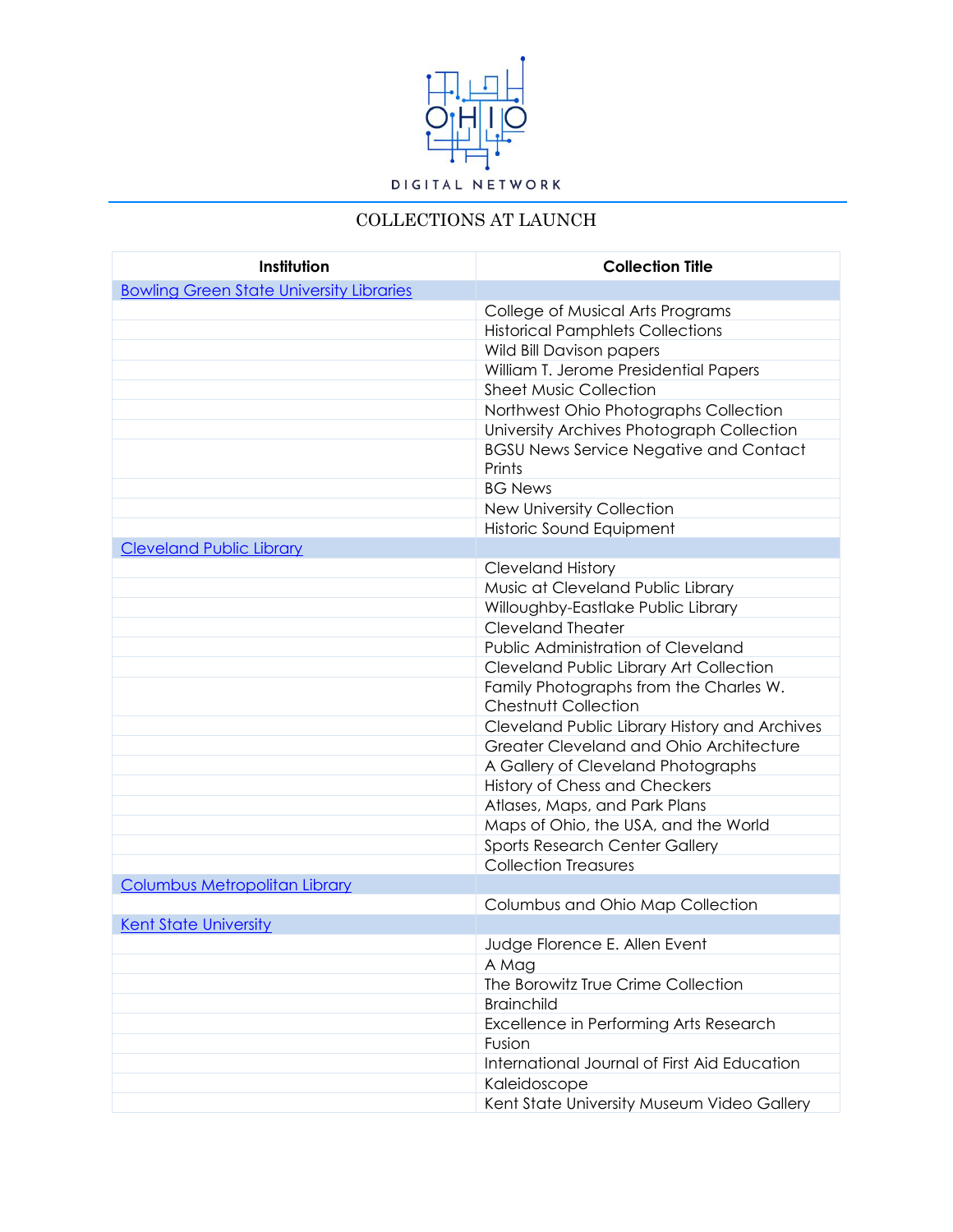

## COLLECTIONS AT LAUNCH

| Institution                                     | <b>Collection Title</b>                                               |
|-------------------------------------------------|-----------------------------------------------------------------------|
| <b>Bowling Green State University Libraries</b> |                                                                       |
|                                                 | College of Musical Arts Programs                                      |
|                                                 | <b>Historical Pamphlets Collections</b>                               |
|                                                 | Wild Bill Davison papers                                              |
|                                                 | William T. Jerome Presidential Papers                                 |
|                                                 | <b>Sheet Music Collection</b>                                         |
|                                                 | Northwest Ohio Photographs Collection                                 |
|                                                 | University Archives Photograph Collection                             |
|                                                 | <b>BGSU News Service Negative and Contact</b><br>Prints               |
|                                                 | <b>BG News</b>                                                        |
|                                                 | New University Collection                                             |
|                                                 | Historic Sound Equipment                                              |
| <b>Cleveland Public Library</b>                 |                                                                       |
|                                                 | <b>Cleveland History</b>                                              |
|                                                 | Music at Cleveland Public Library                                     |
|                                                 | Willoughby-Eastlake Public Library                                    |
|                                                 | <b>Cleveland Theater</b>                                              |
|                                                 | Public Administration of Cleveland                                    |
|                                                 | Cleveland Public Library Art Collection                               |
|                                                 | Family Photographs from the Charles W.<br><b>Chestnutt Collection</b> |
|                                                 | Cleveland Public Library History and Archives                         |
|                                                 | Greater Cleveland and Ohio Architecture                               |
|                                                 | A Gallery of Cleveland Photographs                                    |
|                                                 | History of Chess and Checkers                                         |
|                                                 | Atlases, Maps, and Park Plans                                         |
|                                                 | Maps of Ohio, the USA, and the World                                  |
|                                                 | Sports Research Center Gallery                                        |
|                                                 | <b>Collection Treasures</b>                                           |
| <b>Columbus Metropolitan Library</b>            |                                                                       |
|                                                 | Columbus and Ohio Map Collection                                      |
| <b>Kent State University</b>                    |                                                                       |
|                                                 | Judge Florence E. Allen Event                                         |
|                                                 | A Mag                                                                 |
|                                                 | The Borowitz True Crime Collection                                    |
|                                                 | <b>Brainchild</b>                                                     |
|                                                 | Excellence in Performing Arts Research                                |
|                                                 | Fusion<br>International Journal of First Aid Education                |
|                                                 |                                                                       |
|                                                 | Kaleidoscope                                                          |
|                                                 | Kent State University Museum Video Gallery                            |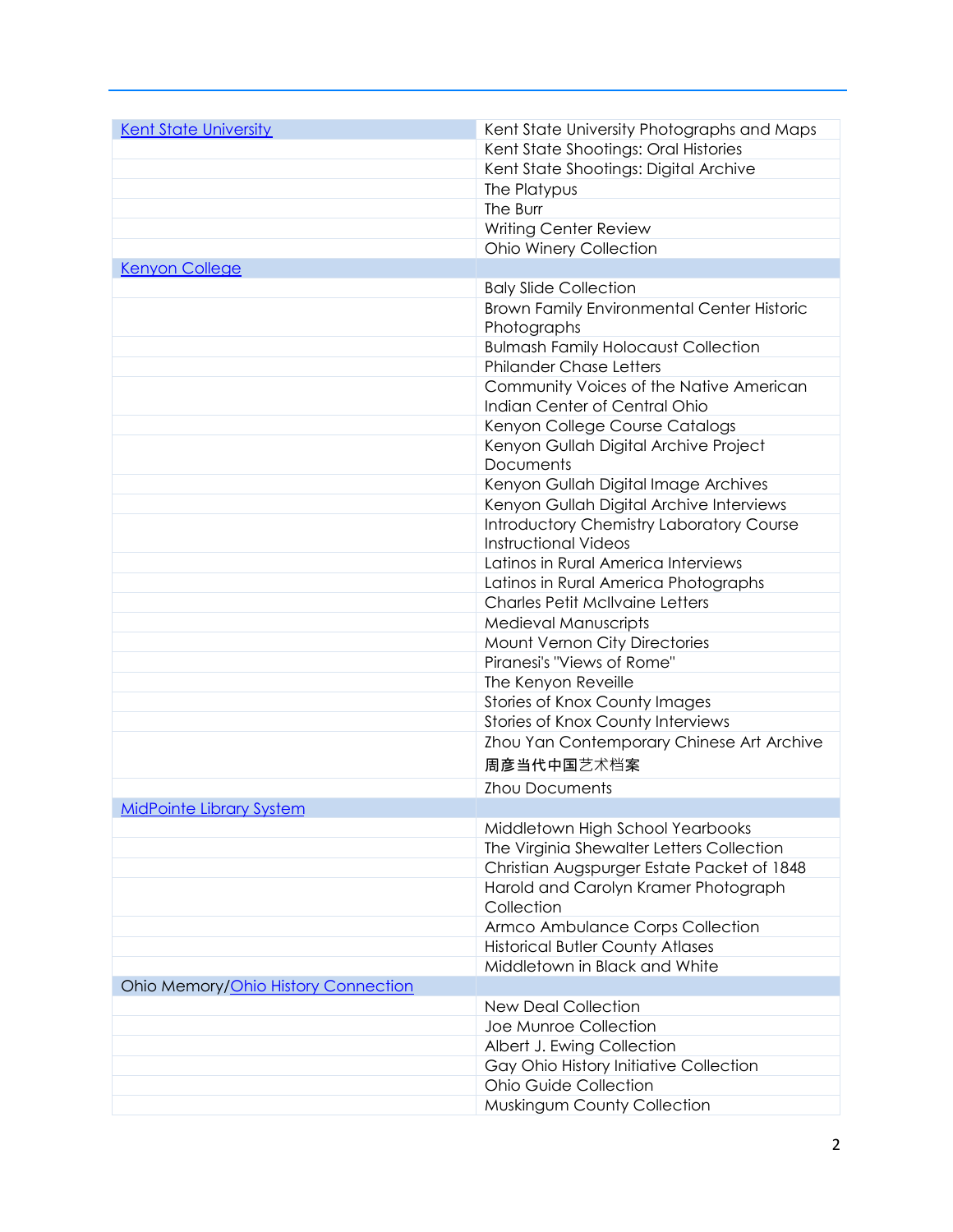| <b>Kent State University</b>        | Kent State University Photographs and Maps                                |
|-------------------------------------|---------------------------------------------------------------------------|
|                                     | Kent State Shootings: Oral Histories                                      |
|                                     | Kent State Shootings: Digital Archive                                     |
|                                     | The Platypus                                                              |
|                                     | The Burr                                                                  |
|                                     | Writing Center Review                                                     |
|                                     | Ohio Winery Collection                                                    |
| <b>Kenyon College</b>               |                                                                           |
|                                     | <b>Baly Slide Collection</b>                                              |
|                                     | Brown Family Environmental Center Historic                                |
|                                     | Photographs                                                               |
|                                     | <b>Bulmash Family Holocaust Collection</b>                                |
|                                     | <b>Philander Chase Letters</b>                                            |
|                                     | Community Voices of the Native American                                   |
|                                     | Indian Center of Central Ohio                                             |
|                                     | Kenyon College Course Catalogs                                            |
|                                     | Kenyon Gullah Digital Archive Project                                     |
|                                     | Documents                                                                 |
|                                     | Kenyon Gullah Digital Image Archives                                      |
|                                     | Kenyon Gullah Digital Archive Interviews                                  |
|                                     | <b>Introductory Chemistry Laboratory Course</b>                           |
|                                     | <b>Instructional Videos</b>                                               |
|                                     | Latinos in Rural America Interviews                                       |
|                                     | Latinos in Rural America Photographs                                      |
|                                     | <b>Charles Petit McIlvaine Letters</b>                                    |
|                                     | Medieval Manuscripts                                                      |
|                                     | Mount Vernon City Directories                                             |
|                                     | Piranesi's "Views of Rome"                                                |
|                                     | The Kenyon Reveille                                                       |
|                                     | <b>Stories of Knox County Images</b><br>Stories of Knox County Interviews |
|                                     | Zhou Yan Contemporary Chinese Art Archive                                 |
|                                     |                                                                           |
|                                     | 周彦当代中国艺术档案                                                                |
|                                     | <b>Zhou Documents</b>                                                     |
| <b>MidPointe Library System</b>     |                                                                           |
|                                     | Middletown High School Yearbooks                                          |
|                                     | The Virginia Shewalter Letters Collection                                 |
|                                     | Christian Augspurger Estate Packet of 1848                                |
|                                     | Harold and Carolyn Kramer Photograph<br>Collection                        |
|                                     | Armco Ambulance Corps Collection                                          |
|                                     | <b>Historical Butler County Atlases</b>                                   |
|                                     | Middletown in Black and White                                             |
| Ohio Memory/Ohio History Connection |                                                                           |
|                                     | <b>New Deal Collection</b>                                                |
|                                     | Joe Munroe Collection                                                     |
|                                     | Albert J. Ewing Collection                                                |
|                                     | Gay Ohio History Initiative Collection                                    |
|                                     | <b>Ohio Guide Collection</b>                                              |
|                                     | Muskingum County Collection                                               |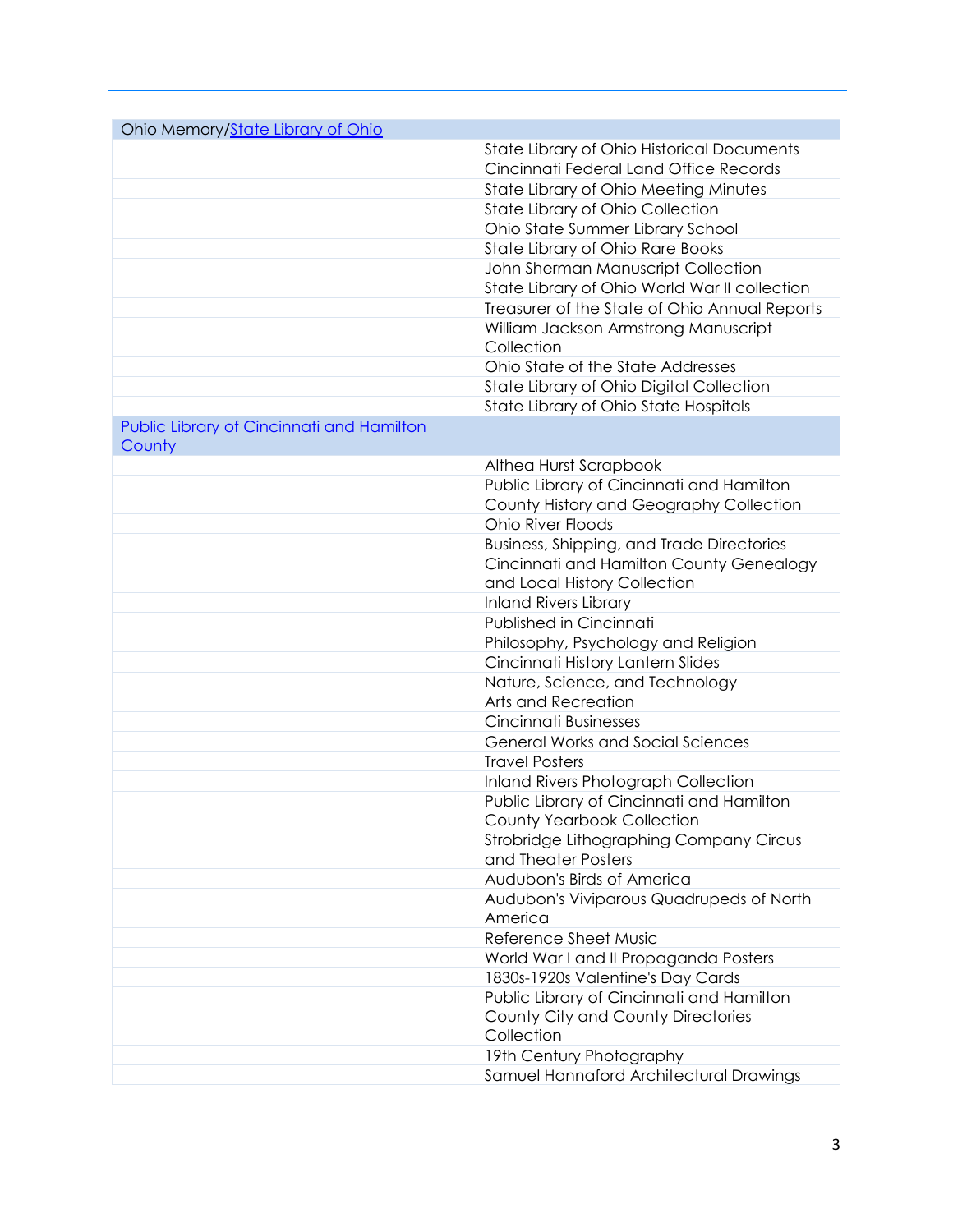| Ohio Memory/State Library of Ohio                              |  |
|----------------------------------------------------------------|--|
| <b>State Library of Ohio Historical Documents</b>              |  |
| Cincinnati Federal Land Office Records                         |  |
| State Library of Ohio Meeting Minutes                          |  |
| State Library of Ohio Collection                               |  |
| Ohio State Summer Library School                               |  |
| State Library of Ohio Rare Books                               |  |
| John Sherman Manuscript Collection                             |  |
| State Library of Ohio World War II collection                  |  |
| Treasurer of the State of Ohio Annual Reports                  |  |
| William Jackson Armstrong Manuscript                           |  |
| Collection                                                     |  |
| Ohio State of the State Addresses                              |  |
| State Library of Ohio Digital Collection                       |  |
| State Library of Ohio State Hospitals                          |  |
| <b>Public Library of Cincinnati and Hamilton</b>               |  |
| County                                                         |  |
| Althea Hurst Scrapbook                                         |  |
| Public Library of Cincinnati and Hamilton                      |  |
| County History and Geography Collection                        |  |
| Ohio River Floods                                              |  |
| Business, Shipping, and Trade Directories                      |  |
| Cincinnati and Hamilton County Genealogy                       |  |
| and Local History Collection                                   |  |
| <b>Inland Rivers Library</b>                                   |  |
| Published in Cincinnati                                        |  |
| Philosophy, Psychology and Religion                            |  |
| Cincinnati History Lantern Slides                              |  |
| Nature, Science, and Technology                                |  |
| Arts and Recreation                                            |  |
| Cincinnati Businesses                                          |  |
| <b>General Works and Social Sciences</b>                       |  |
| <b>Travel Posters</b>                                          |  |
| Inland Rivers Photograph Collection                            |  |
| Public Library of Cincinnati and Hamilton                      |  |
| County Yearbook Collection                                     |  |
| Strobridge Lithographing Company Circus<br>and Theater Posters |  |
| Audubon's Birds of America                                     |  |
| Audubon's Viviparous Quadrupeds of North                       |  |
| America                                                        |  |
| Reference Sheet Music                                          |  |
| World War I and II Propaganda Posters                          |  |
| 1830s-1920s Valentine's Day Cards                              |  |
| Public Library of Cincinnati and Hamilton                      |  |
| County City and County Directories                             |  |
| Collection                                                     |  |
| 19th Century Photography                                       |  |
| Samuel Hannaford Architectural Drawings                        |  |